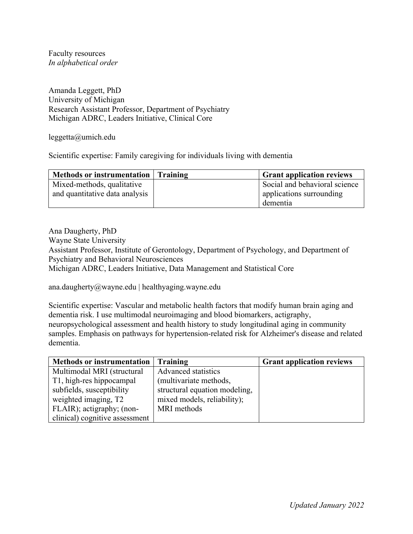Faculty resources *In alphabetical order*

Amanda Leggett, PhD University of Michigan Research Assistant Professor, Department of Psychiatry Michigan ADRC, Leaders Initiative, Clinical Core

leggetta@umich.edu

Scientific expertise: Family caregiving for individuals living with dementia

| Methods or instrumentation   Training | <b>Grant application reviews</b> |
|---------------------------------------|----------------------------------|
| Mixed-methods, qualitative            | Social and behavioral science    |
| and quantitative data analysis        | applications surrounding         |
|                                       | dementia                         |

Ana Daugherty, PhD

Wayne State University

Assistant Professor, Institute of Gerontology, Department of Psychology, and Department of Psychiatry and Behavioral Neurosciences

Michigan ADRC, Leaders Initiative, Data Management and Statistical Core

ana.daugherty@wayne.edu | healthyaging.wayne.edu

Scientific expertise: Vascular and metabolic health factors that modify human brain aging and dementia risk. I use multimodal neuroimaging and blood biomarkers, actigraphy, neuropsychological assessment and health history to study longitudinal aging in community samples. Emphasis on pathways for hypertension-related risk for Alzheimer's disease and related dementia.

| <b>Methods or instrumentation</b> | Training                      | <b>Grant application reviews</b> |
|-----------------------------------|-------------------------------|----------------------------------|
| Multimodal MRI (structural        | <b>Advanced statistics</b>    |                                  |
| T1, high-res hippocampal          | (multivariate methods,        |                                  |
| subfields, susceptibility         | structural equation modeling, |                                  |
| weighted imaging, T2              | mixed models, reliability);   |                                  |
| FLAIR); actigraphy; (non-         | MRI methods                   |                                  |
| clinical) cognitive assessment    |                               |                                  |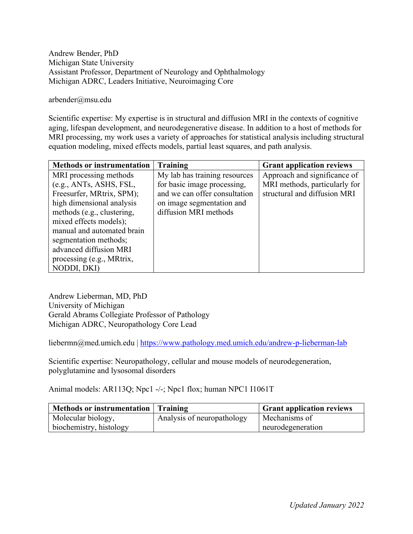## Andrew Bender, PhD Michigan State University Assistant Professor, Department of Neurology and Ophthalmology Michigan ADRC, Leaders Initiative, Neuroimaging Core

## arbender@msu.edu

Scientific expertise: My expertise is in structural and diffusion MRI in the contexts of cognitive aging, lifespan development, and neurodegenerative disease. In addition to a host of methods for MRI processing, my work uses a variety of approaches for statistical analysis including structural equation modeling, mixed effects models, partial least squares, and path analysis.

| <b>Methods or instrumentation</b> | <b>Training</b>               | <b>Grant application reviews</b> |
|-----------------------------------|-------------------------------|----------------------------------|
| MRI processing methods            | My lab has training resources | Approach and significance of     |
| (e.g., ANTs, ASHS, FSL,           | for basic image processing,   | MRI methods, particularly for    |
| Freesurfer, MRtrix, SPM);         | and we can offer consultation | structural and diffusion MRI     |
| high dimensional analysis         | on image segmentation and     |                                  |
| methods (e.g., clustering,        | diffusion MRI methods         |                                  |
| mixed effects models);            |                               |                                  |
| manual and automated brain        |                               |                                  |
| segmentation methods;             |                               |                                  |
| advanced diffusion MRI            |                               |                                  |
| processing (e.g., MRtrix,         |                               |                                  |
| NODDI, DKI)                       |                               |                                  |

Andrew Lieberman, MD, PhD University of Michigan Gerald Abrams Collegiate Professor of Pathology Michigan ADRC, Neuropathology Core Lead

liebermn@med.umich.edu | https://www.pathology.med.umich.edu/andrew-p-lieberman-lab

Scientific expertise: Neuropathology, cellular and mouse models of neurodegeneration, polyglutamine and lysosomal disorders

Animal models: AR113Q; Npc1 -/-; Npc1 flox; human NPC1 I1061T

| Methods or instrumentation   Training |                            | <b>Grant application reviews</b> |
|---------------------------------------|----------------------------|----------------------------------|
| Molecular biology,                    | Analysis of neuropathology | Mechanisms of                    |
| biochemistry, histology               |                            | neurodegeneration                |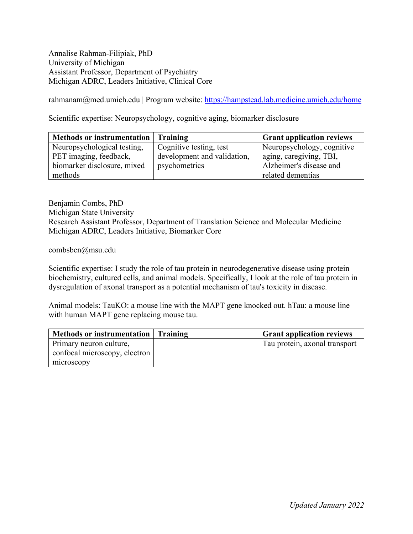Annalise Rahman-Filipiak, PhD University of Michigan Assistant Professor, Department of Psychiatry Michigan ADRC, Leaders Initiative, Clinical Core

rahmanam@med.umich.edu | Program website: https://hampstead.lab.medicine.umich.edu/home

Scientific expertise: Neuropsychology, cognitive aging, biomarker disclosure

| Methods or instrumentation Training |                             | <b>Grant application reviews</b> |
|-------------------------------------|-----------------------------|----------------------------------|
| Neuropsychological testing,         | Cognitive testing, test     | Neuropsychology, cognitive       |
| PET imaging, feedback,              | development and validation, | aging, caregiving, TBI,          |
| biomarker disclosure, mixed         | psychometrics               | Alzheimer's disease and          |
| methods                             |                             | related dementias                |

Benjamin Combs, PhD Michigan State University Research Assistant Professor, Department of Translation Science and Molecular Medicine Michigan ADRC, Leaders Initiative, Biomarker Core

combsben@msu.edu

Scientific expertise: I study the role of tau protein in neurodegenerative disease using protein biochemistry, cultured cells, and animal models. Specifically, I look at the role of tau protein in dysregulation of axonal transport as a potential mechanism of tau's toxicity in disease.

Animal models: TauKO: a mouse line with the MAPT gene knocked out. hTau: a mouse line with human MAPT gene replacing mouse tau.

| <b>Methods or instrumentation</b> | Training | <b>Grant application reviews</b> |
|-----------------------------------|----------|----------------------------------|
| Primary neuron culture,           |          | Tau protein, axonal transport    |
| confocal microscopy, electron     |          |                                  |
| microscopy                        |          |                                  |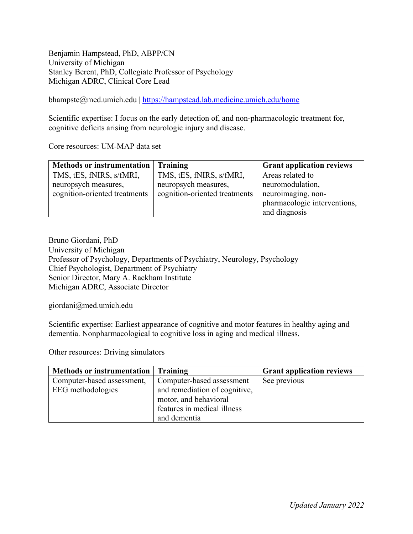Benjamin Hampstead, PhD, ABPP/CN University of Michigan Stanley Berent, PhD, Collegiate Professor of Psychology Michigan ADRC, Clinical Core Lead

bhampste@med.umich.edu | https://hampstead.lab.medicine.umich.edu/home

Scientific expertise: I focus on the early detection of, and non-pharmacologic treatment for, cognitive deficits arising from neurologic injury and disease.

Core resources: UM-MAP data set

| <b>Methods or instrumentation</b> | Training                      | <b>Grant application reviews</b> |
|-----------------------------------|-------------------------------|----------------------------------|
| TMS, tES, fNIRS, s/fMRI,          | TMS, tES, fNIRS, s/fMRI,      | Areas related to                 |
| neuropsych measures,              | neuropsych measures,          | neuromodulation,                 |
| cognition-oriented treatments     | cognition-oriented treatments | neuroimaging, non-               |
|                                   |                               | pharmacologic interventions,     |
|                                   |                               | and diagnosis                    |

Bruno Giordani, PhD University of Michigan Professor of Psychology, Departments of Psychiatry, Neurology, Psychology Chief Psychologist, Department of Psychiatry Senior Director, Mary A. Rackham Institute Michigan ADRC, Associate Director

giordani@med.umich.edu

Scientific expertise: Earliest appearance of cognitive and motor features in healthy aging and dementia. Nonpharmacological to cognitive loss in aging and medical illness.

Other resources: Driving simulators

| Methods or instrumentation | Training                      | <b>Grant application reviews</b> |
|----------------------------|-------------------------------|----------------------------------|
| Computer-based assessment, | Computer-based assessment     | See previous                     |
| EEG methodologies          | and remediation of cognitive, |                                  |
|                            | motor, and behavioral         |                                  |
|                            | features in medical illness   |                                  |
|                            | and dementia                  |                                  |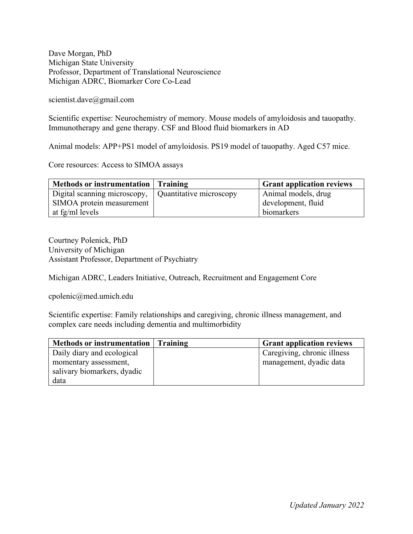Dave Morgan, PhD Michigan State University Professor, Department of Translational Neuroscience Michigan ADRC, Biomarker Core Co-Lead

scientist.dave@gmail.com

Scientific expertise: Neurochemistry of memory. Mouse models of amyloidosis and tauopathy. Immunotherapy and gene therapy. CSF and Blood fluid biomarkers in AD

Animal models: APP+PS1 model of amyloidosis. PS19 model of tauopathy. Aged C57 mice.

Core resources: Access to SIMOA assays

| Methods or instrumentation   Training |                         | <sup>1</sup> Grant application reviews |
|---------------------------------------|-------------------------|----------------------------------------|
| Digital scanning microscopy,          | Quantitative microscopy | Animal models, drug                    |
| SIMOA protein measurement             |                         | development, fluid                     |
| at fg/ml levels                       |                         | biomarkers                             |

Courtney Polenick, PhD University of Michigan Assistant Professor, Department of Psychiatry

Michigan ADRC, Leaders Initiative, Outreach, Recruitment and Engagement Core

cpolenic@med.umich.edu

Scientific expertise: Family relationships and caregiving, chronic illness management, and complex care needs including dementia and multimorbidity

| Methods or instrumentation   Training | <b>Grant application reviews</b> |
|---------------------------------------|----------------------------------|
| Daily diary and ecological            | Caregiving, chronic illness      |
| momentary assessment,                 | management, dyadic data          |
| salivary biomarkers, dyadic           |                                  |
| data                                  |                                  |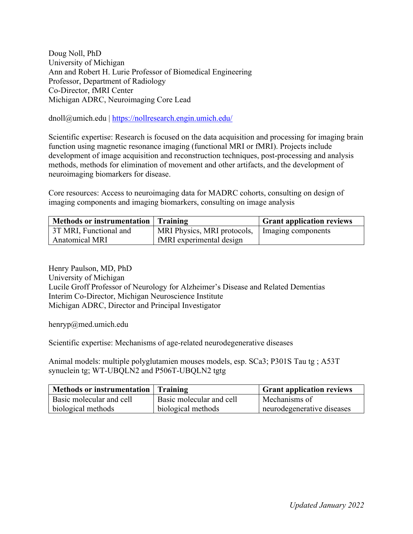Doug Noll, PhD University of Michigan Ann and Robert H. Lurie Professor of Biomedical Engineering Professor, Department of Radiology Co-Director, fMRI Center Michigan ADRC, Neuroimaging Core Lead

dnoll@umich.edu | https://nollresearch.engin.umich.edu/

Scientific expertise: Research is focused on the data acquisition and processing for imaging brain function using magnetic resonance imaging (functional MRI or fMRI). Projects include development of image acquisition and reconstruction techniques, post-processing and analysis methods, methods for elimination of movement and other artifacts, and the development of neuroimaging biomarkers for disease.

Core resources: Access to neuroimaging data for MADRC cohorts, consulting on design of imaging components and imaging biomarkers, consulting on image analysis

| Methods or instrumentation   Training |                                                  | <b>Grant application reviews</b> |
|---------------------------------------|--------------------------------------------------|----------------------------------|
| 3T MRI, Functional and                | MRI Physics, MRI protocols,   Imaging components |                                  |
| <b>Anatomical MRI</b>                 | fMRI experimental design                         |                                  |

Henry Paulson, MD, PhD University of Michigan Lucile Groff Professor of Neurology for Alzheimer's Disease and Related Dementias Interim Co-Director, Michigan Neuroscience Institute Michigan ADRC, Director and Principal Investigator

henryp@med.umich.edu

Scientific expertise: Mechanisms of age-related neurodegenerative diseases

Animal models: multiple polyglutamien mouses models, esp. SCa3; P301S Tau tg ; A53T synuclein tg; WT-UBQLN2 and P506T-UBQLN2 tgtg

| Methods or instrumentation   Training |                          | <b>Grant application reviews</b> |
|---------------------------------------|--------------------------|----------------------------------|
| Basic molecular and cell              | Basic molecular and cell | Mechanisms of                    |
| biological methods                    | biological methods       | neurodegenerative diseases       |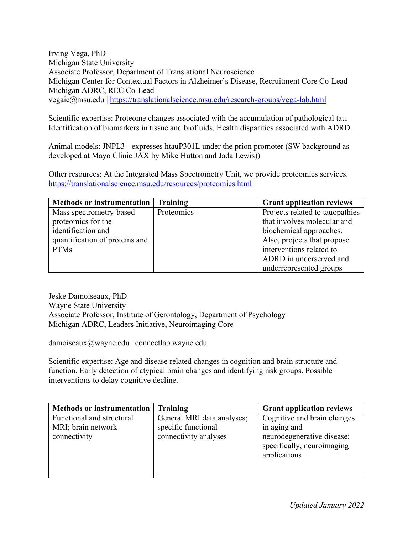Irving Vega, PhD Michigan State University Associate Professor, Department of Translational Neuroscience Michigan Center for Contextual Factors in Alzheimer's Disease, Recruitment Core Co-Lead Michigan ADRC, REC Co-Lead vegaie@msu.edu | https://translationalscience.msu.edu/research-groups/vega-lab.html

Scientific expertise: Proteome changes associated with the accumulation of pathological tau. Identification of biomarkers in tissue and biofluids. Health disparities associated with ADRD.

Animal models: JNPL3 - expresses htauP301L under the prion promoter (SW background as developed at Mayo Clinic JAX by Mike Hutton and Jada Lewis))

Other resources: At the Integrated Mass Spectrometry Unit, we provide proteomics services. https://translationalscience.msu.edu/resources/proteomics.html

| <b>Methods or instrumentation</b> | <b>Training</b> | <b>Grant application reviews</b> |
|-----------------------------------|-----------------|----------------------------------|
| Mass spectrometry-based           | Proteomics      | Projects related to tauopathies  |
| proteomics for the                |                 | that involves molecular and      |
| identification and                |                 | biochemical approaches.          |
| quantification of proteins and    |                 | Also, projects that propose      |
| <b>PTMs</b>                       |                 | interventions related to         |
|                                   |                 | ADRD in underserved and          |
|                                   |                 | underrepresented groups          |

Jeske Damoiseaux, PhD Wayne State University Associate Professor, Institute of Gerontology, Department of Psychology Michigan ADRC, Leaders Initiative, Neuroimaging Core

damoiseaux@wayne.edu | connectlab.wayne.edu

Scientific expertise: Age and disease related changes in cognition and brain structure and function. Early detection of atypical brain changes and identifying risk groups. Possible interventions to delay cognitive decline.

| <b>Methods or instrumentation</b> | Training                   | <b>Grant application reviews</b> |
|-----------------------------------|----------------------------|----------------------------------|
| Functional and structural         | General MRI data analyses; | Cognitive and brain changes      |
| MRI; brain network                | specific functional        | in aging and                     |
| connectivity                      | connectivity analyses      | neurodegenerative disease;       |
|                                   |                            | specifically, neuroimaging       |
|                                   |                            | applications                     |
|                                   |                            |                                  |
|                                   |                            |                                  |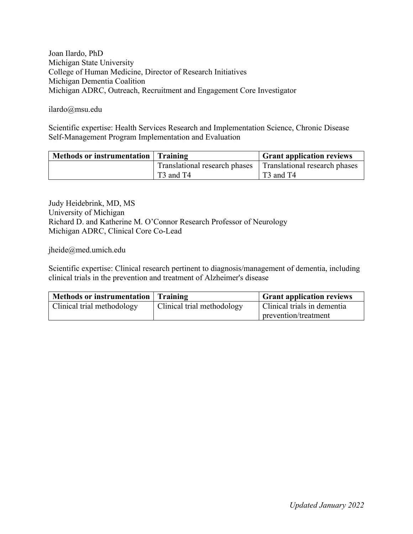Joan Ilardo, PhD Michigan State University College of Human Medicine, Director of Research Initiatives Michigan Dementia Coalition Michigan ADRC, Outreach, Recruitment and Engagement Core Investigator

ilardo@msu.edu

Scientific expertise: Health Services Research and Implementation Science, Chronic Disease Self-Management Program Implementation and Evaluation

| Methods or instrumentation Training |                                   | <b>Grant application reviews</b>  |
|-------------------------------------|-----------------------------------|-----------------------------------|
|                                     | Translational research phases     | Translational research phases     |
|                                     | T <sub>3</sub> and T <sub>4</sub> | T <sub>3</sub> and T <sub>4</sub> |

Judy Heidebrink, MD, MS University of Michigan Richard D. and Katherine M. O'Connor Research Professor of Neurology Michigan ADRC, Clinical Core Co-Lead

jheide@med.umich.edu

Scientific expertise: Clinical research pertinent to diagnosis/management of dementia, including clinical trials in the prevention and treatment of Alzheimer's disease

| Methods or instrumentation Training |                            | <b>Grant application reviews</b> |
|-------------------------------------|----------------------------|----------------------------------|
| Clinical trial methodology          | Clinical trial methodology | Clinical trials in dementia      |
|                                     |                            | prevention/treatment             |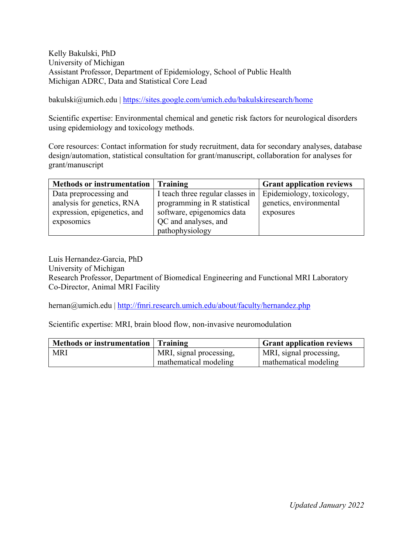Kelly Bakulski, PhD University of Michigan Assistant Professor, Department of Epidemiology, School of Public Health Michigan ADRC, Data and Statistical Core Lead

bakulski@umich.edu | https://sites.google.com/umich.edu/bakulskiresearch/home

Scientific expertise: Environmental chemical and genetic risk factors for neurological disorders using epidemiology and toxicology methods.

Core resources: Contact information for study recruitment, data for secondary analyses, database design/automation, statistical consultation for grant/manuscript, collaboration for analyses for grant/manuscript

| <b>Methods or instrumentation</b> | Training                         | <b>Grant application reviews</b> |
|-----------------------------------|----------------------------------|----------------------------------|
| Data preprocessing and            | I teach three regular classes in | Epidemiology, toxicology,        |
| analysis for genetics, RNA        | programming in R statistical     | genetics, environmental          |
| expression, epigenetics, and      | software, epigenomics data       | exposures                        |
| exposomics                        | QC and analyses, and             |                                  |
|                                   | pathophysiology                  |                                  |

Luis Hernandez-Garcia, PhD University of Michigan Research Professor, Department of Biomedical Engineering and Functional MRI Laboratory Co-Director, Animal MRI Facility

hernan@umich.edu | http://fmri.research.umich.edu/about/faculty/hernandez.php

Scientific expertise: MRI, brain blood flow, non-invasive neuromodulation

| Methods or instrumentation   Training |                         | <b>Grant application reviews</b> |
|---------------------------------------|-------------------------|----------------------------------|
| <b>MRI</b>                            | MRI, signal processing, | MRI, signal processing,          |
|                                       | mathematical modeling   | mathematical modeling            |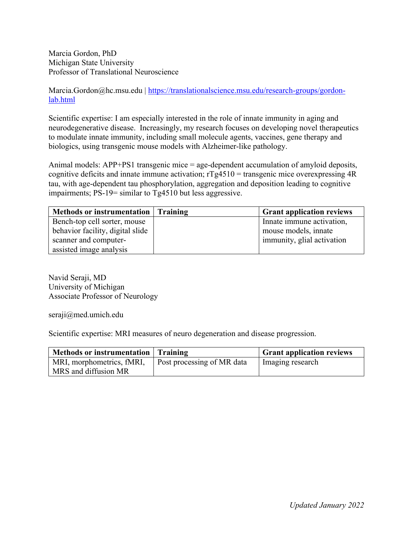Marcia Gordon, PhD Michigan State University Professor of Translational Neuroscience

Marcia.Gordon@hc.msu.edu | https://translationalscience.msu.edu/research-groups/gordonlab.html

Scientific expertise: I am especially interested in the role of innate immunity in aging and neurodegenerative disease. Increasingly, my research focuses on developing novel therapeutics to modulate innate immunity, including small molecule agents, vaccines, gene therapy and biologics, using transgenic mouse models with Alzheimer-like pathology.

Animal models: APP+PS1 transgenic mice = age-dependent accumulation of amyloid deposits, cognitive deficits and innate immune activation;  $rTg4510$  = transgenic mice overexpressing  $4R$ tau, with age-dependent tau phosphorylation, aggregation and deposition leading to cognitive impairments; PS-19= similar to Tg4510 but less aggressive.

| Methods or instrumentation   Training | <b>Grant application reviews</b> |
|---------------------------------------|----------------------------------|
| Bench-top cell sorter, mouse          | Innate immune activation,        |
| behavior facility, digital slide      | mouse models, innate             |
| scanner and computer-                 | immunity, glial activation       |
| assisted image analysis               |                                  |

Navid Seraji, MD University of Michigan Associate Professor of Neurology

seraji@med.umich.edu

Scientific expertise: MRI measures of neuro degeneration and disease progression.

| Methods or instrumentation   Training             |                                   | <b>Grant application reviews</b> |
|---------------------------------------------------|-----------------------------------|----------------------------------|
| MRI, morphometrics, fMRI,<br>MRS and diffusion MR | <b>Post processing of MR</b> data | Imaging research                 |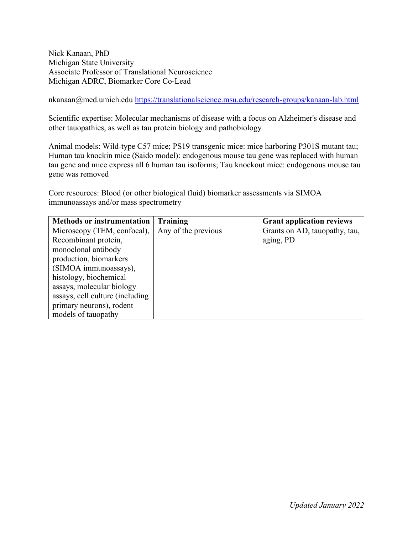Nick Kanaan, PhD Michigan State University Associate Professor of Translational Neuroscience Michigan ADRC, Biomarker Core Co-Lead

nkanaan@med.umich.edu https://translationalscience.msu.edu/research-groups/kanaan-lab.html

Scientific expertise: Molecular mechanisms of disease with a focus on Alzheimer's disease and other tauopathies, as well as tau protein biology and pathobiology

Animal models: Wild-type C57 mice; PS19 transgenic mice: mice harboring P301S mutant tau; Human tau knockin mice (Saido model): endogenous mouse tau gene was replaced with human tau gene and mice express all 6 human tau isoforms; Tau knockout mice: endogenous mouse tau gene was removed

Core resources: Blood (or other biological fluid) biomarker assessments via SIMOA immunoassays and/or mass spectrometry

| <b>Methods or instrumentation</b> | Training            | <b>Grant application reviews</b> |
|-----------------------------------|---------------------|----------------------------------|
| Microscopy (TEM, confocal),       | Any of the previous | Grants on AD, tauopathy, tau,    |
| Recombinant protein,              |                     | aging, PD                        |
| monoclonal antibody               |                     |                                  |
| production, biomarkers            |                     |                                  |
| (SIMOA immunoassays),             |                     |                                  |
| histology, biochemical            |                     |                                  |
| assays, molecular biology         |                     |                                  |
| assays, cell culture (including   |                     |                                  |
| primary neurons), rodent          |                     |                                  |
| models of tauopathy               |                     |                                  |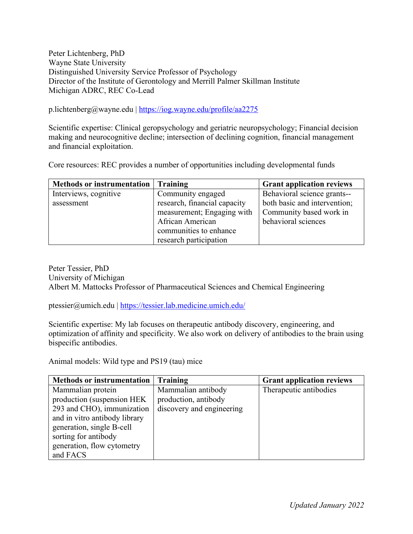## Peter Lichtenberg, PhD Wayne State University Distinguished University Service Professor of Psychology Director of the Institute of Gerontology and Merrill Palmer Skillman Institute Michigan ADRC, REC Co-Lead

p.lichtenberg@wayne.edu | https://iog.wayne.edu/profile/aa2275

Scientific expertise: Clinical geropsychology and geriatric neuropsychology; Financial decision making and neurocognitive decline; intersection of declining cognition, financial management and financial exploitation.

Core resources: REC provides a number of opportunities including developmental funds

| Methods or instrumentation | <b>Training</b>              | <b>Grant application reviews</b> |
|----------------------------|------------------------------|----------------------------------|
| Interviews, cognitive      | Community engaged            | Behavioral science grants--      |
| assessment                 | research, financial capacity | both basic and intervention;     |
|                            | measurement; Engaging with   | Community based work in          |
|                            | African American             | behavioral sciences              |
|                            | communities to enhance       |                                  |
|                            | research participation       |                                  |

Peter Tessier, PhD University of Michigan Albert M. Mattocks Professor of Pharmaceutical Sciences and Chemical Engineering

ptessier@umich.edu | https://tessier.lab.medicine.umich.edu/

Scientific expertise: My lab focuses on therapeutic antibody discovery, engineering, and optimization of affinity and specificity. We also work on delivery of antibodies to the brain using bispecific antibodies.

Animal models: Wild type and PS19 (tau) mice

| <b>Methods or instrumentation</b> | Training                  | <b>Grant application reviews</b> |
|-----------------------------------|---------------------------|----------------------------------|
| Mammalian protein                 | Mammalian antibody        | Therapeutic antibodies           |
| production (suspension HEK)       | production, antibody      |                                  |
| 293 and CHO), immunization        | discovery and engineering |                                  |
| and in vitro antibody library     |                           |                                  |
| generation, single B-cell         |                           |                                  |
| sorting for antibody              |                           |                                  |
| generation, flow cytometry        |                           |                                  |
| and FACS                          |                           |                                  |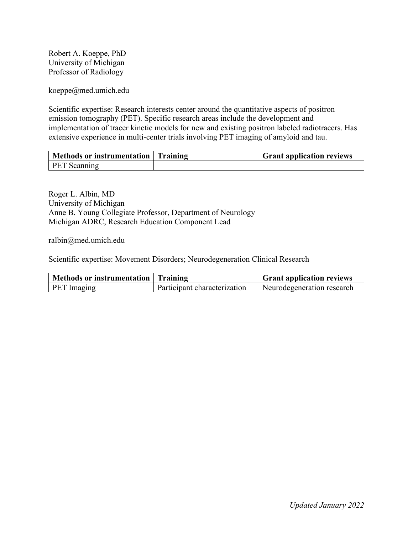Robert A. Koeppe, PhD University of Michigan Professor of Radiology

koeppe@med.umich.edu

Scientific expertise: Research interests center around the quantitative aspects of positron emission tomography (PET). Specific research areas include the development and implementation of tracer kinetic models for new and existing positron labeled radiotracers. Has extensive experience in multi-center trials involving PET imaging of amyloid and tau.

| Methods or instrumentation   Training | <b>Grant application reviews</b> |
|---------------------------------------|----------------------------------|
| PET Scanning                          |                                  |

Roger L. Albin, MD University of Michigan Anne B. Young Collegiate Professor, Department of Neurology Michigan ADRC, Research Education Component Lead

ralbin@med.umich.edu

Scientific expertise: Movement Disorders; Neurodegeneration Clinical Research

| Methods or instrumentation   Training |                              | <b>Grant application reviews</b> |
|---------------------------------------|------------------------------|----------------------------------|
| <b>PET</b> Imaging                    | Participant characterization | Neurodegeneration research       |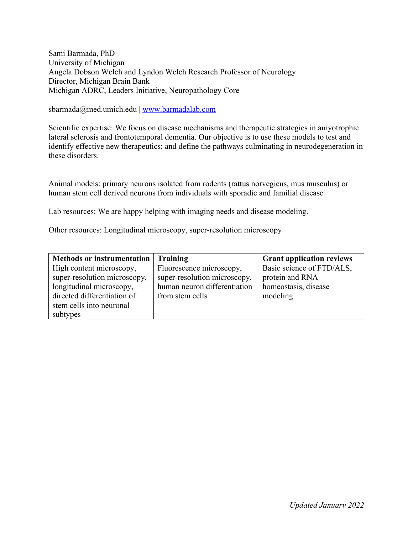Sami Barmada, PhD University of Michigan Angela Dobson Welch and Lyndon Welch Research Professor of Neurology Director, Michigan Brain Bank Michigan ADRC, Leaders Initiative, Neuropathology Core

sbarmada@med.umich.edu | www.barmadalab.com

Scientific expertise: We focus on disease mechanisms and therapeutic strategies in amyotrophic lateral sclerosis and frontotemporal dementia. Our objective is to use these models to test and identify effective new therapeutics; and define the pathways culminating in neurodegeneration in these disorders.

Animal models: primary neurons isolated from rodents (rattus norvegicus, mus musculus) or human stem cell derived neurons from individuals with sporadic and familial disease

Lab resources: We are happy helping with imaging needs and disease modeling.

Other resources: Longitudinal microscopy, super-resolution microscopy

| <b>Methods or instrumentation</b> | Training                     | <b>Grant application reviews</b> |
|-----------------------------------|------------------------------|----------------------------------|
| High content microscopy,          | Fluorescence microscopy,     | Basic science of FTD/ALS,        |
| super-resolution microscopy,      | super-resolution microscopy, | protein and RNA                  |
| longitudinal microscopy,          | human neuron differentiation | homeostasis, disease             |
| directed differentiation of       | from stem cells              | modeling                         |
| stem cells into neuronal          |                              |                                  |
| subtypes                          |                              |                                  |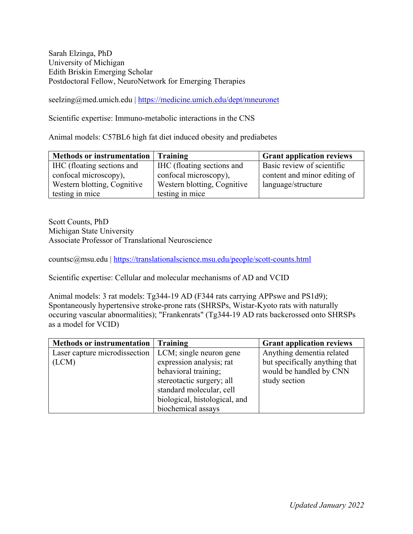Sarah Elzinga, PhD University of Michigan Edith Briskin Emerging Scholar Postdoctoral Fellow, NeuroNetwork for Emerging Therapies

seelzing@med.umich.edu | https://medicine.umich.edu/dept/mneuronet

Scientific expertise: Immuno-metabolic interactions in the CNS

Animal models: C57BL6 high fat diet induced obesity and prediabetes

| Methods or instrumentation Training |                             | <b>Grant application reviews</b> |
|-------------------------------------|-----------------------------|----------------------------------|
| IHC (floating sections and          | IHC (floating sections and  | Basic review of scientific       |
| confocal microscopy),               | confocal microscopy),       | content and minor editing of     |
| Western blotting, Cognitive         | Western blotting, Cognitive | language/structure               |
| testing in mice                     | testing in mice             |                                  |

Scott Counts, PhD Michigan State University Associate Professor of Translational Neuroscience

countsc@msu.edu | https://translationalscience.msu.edu/people/scott-counts.html

Scientific expertise: Cellular and molecular mechanisms of AD and VCID

Animal models: 3 rat models: Tg344-19 AD (F344 rats carrying APPswe and PS1d9); Spontaneously hypertensive stroke-prone rats (SHRSPs, Wistar-Kyoto rats with naturally occuring vascular abnormalities); "Frankenrats" (Tg344-19 AD rats backcrossed onto SHRSPs as a model for VCID)

| <b>Methods or instrumentation</b> | Training                      | <b>Grant application reviews</b> |
|-----------------------------------|-------------------------------|----------------------------------|
| Laser capture microdissection     | LCM; single neuron gene       | Anything dementia related        |
| (LCM)                             | expression analysis; rat      | but specifically anything that   |
|                                   | behavioral training;          | would be handled by CNN          |
|                                   | stereotactic surgery; all     | study section                    |
|                                   | standard molecular, cell      |                                  |
|                                   | biological, histological, and |                                  |
|                                   | biochemical assays            |                                  |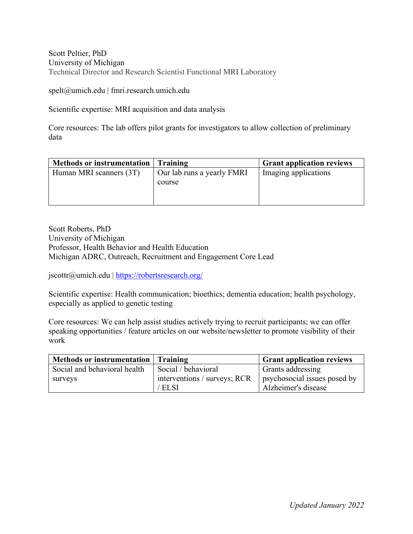Scott Peltier, PhD University of Michigan Technical Director and Research Scientist Functional MRI Laboratory

spelt@umich.edu | fmri.research.umich.edu

Scientific expertise: MRI acquisition and data analysis

Core resources: The lab offers pilot grants for investigators to allow collection of preliminary data

| Methods or instrumentation   Training |                                      | <b>Grant application reviews</b> |
|---------------------------------------|--------------------------------------|----------------------------------|
| Human MRI scanners (3T)               | Our lab runs a yearly FMRI<br>course | Imaging applications             |

Scott Roberts, PhD University of Michigan Professor, Health Behavior and Health Education Michigan ADRC, Outreach, Recruitment and Engagement Core Lead

jscottr@umich.edu | https://robertsresearch.org/

Scientific expertise: Health communication; bioethics; dementia education; health psychology, especially as applied to genetic testing

Core resources: We can help assist studies actively trying to recruit participants; we can offer speaking opportunities / feature articles on our website/newsletter to promote visibility of their work

| <b>Methods or instrumentation</b> | Training                     | <b>Grant application reviews</b> |
|-----------------------------------|------------------------------|----------------------------------|
| Social and behavioral health      | Social / behavioral          | <b>Grants addressing</b>         |
| surveys                           | interventions / surveys; RCR | psychosocial issues posed by     |
|                                   | ' ELSI                       | Alzheimer's disease              |